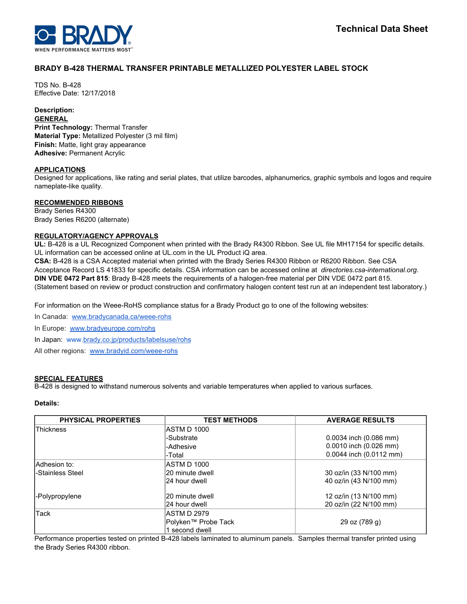

# **BRADY B-428 THERMAL TRANSFER PRINTABLE METALLIZED POLYESTER LABEL STOCK**

TDS No. B-428 Effective Date: 12/17/2018

# **Description:**

**GENERAL Print Technology:** Thermal Transfer **Material Type:** Metallized Polyester (3 mil film) **Finish:** Matte, light gray appearance **Adhesive:** Permanent Acrylic

# **APPLICATIONS**

Designed for applications, like rating and serial plates, that utilize barcodes, alphanumerics, graphic symbols and logos and require nameplate-like quality.

# **RECOMMENDED RIBBONS**

Brady Series R4300 Brady Series R6200 (alternate)

### **REGULATORY/AGENCY APPROVALS**

**UL:** B-428 is a UL Recognized Component when printed with the Brady R4300 Ribbon. See UL file MH17154 for specific details. UL information can be accessed online at UL.com in the UL Product iQ area.

**CSA:** B-428 is a CSA Accepted material when printed with the Brady Series R4300 Ribbon or R6200 Ribbon. See CSA Acceptance Record LS 41833 for specific details. CSA information can be accessed online at *directories.csa-international.org*. **DIN VDE 0472 Part 815**: Brady B-428 meets the requirements of a halogen-free material per DIN VDE 0472 part 815. (Statement based on review or product construction and confirmatory halogen content test run at an independent test laboratory.)

For information on the Weee-RoHS compliance status for a Brady Product go to one of the following websites:

In Canada: [www.bradycanada.ca/weee-rohs](http://www.bradycanada.ca/weee-rohs)

In Europe: [www.bradyeurope.com/rohs](http://www.bradyeurope.com/rohs)

In Japan: www.[brady.co.jp/products/labelsuse/rohs](https://brady.co.jp/products/labelsuse/rohs)

All other regions: [www.bradyid.com/weee-rohs](http://www.bradyid.com/weee-rohs)

#### **SPECIAL FEATURES**

B-428 is designed to withstand numerous solvents and variable temperatures when applied to various surfaces.

# **Details:**

| <b>PHYSICAL PROPERTIES</b> | <b>TEST METHODS</b> | <b>AVERAGE RESULTS</b>     |
|----------------------------|---------------------|----------------------------|
| Thickness                  | ASTM D 1000         |                            |
|                            | -Substrate          | $0.0034$ inch $(0.086$ mm) |
|                            | -Adhesive           | $0.0010$ inch $(0.026$ mm) |
|                            | -Total              | 0.0044 inch (0.0112 mm)    |
| lAdhesion to:              | ASTM D 1000         |                            |
| -Stainless Steel           | 20 minute dwell     | 30 oz/in (33 N/100 mm)     |
|                            | 24 hour dwell       | 40 oz/in (43 N/100 mm)     |
| -Polypropylene             | 20 minute dwell     | 12 oz/in (13 N/100 mm)     |
|                            | 24 hour dwell       | 20 oz/in (22 N/100 mm)     |
| Tack                       | ASTM D 2979         |                            |
|                            | Polyken™ Probe Tack | 29 oz (789 g)              |
|                            | second dwell        |                            |

Performance properties tested on printed B-428 labels laminated to aluminum panels. Samples thermal transfer printed using the Brady Series R4300 ribbon.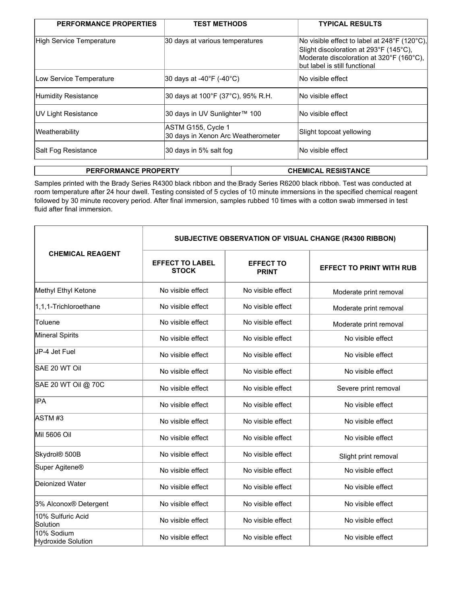| 30 days at various temperatures                          | No visible effect to label at $248^{\circ}$ F (120 $^{\circ}$ C),<br>Slight discoloration at 293°F (145°C),<br>Moderate discoloration at 320°F (160°C),<br>but label is still functional |
|----------------------------------------------------------|------------------------------------------------------------------------------------------------------------------------------------------------------------------------------------------|
| 30 days at -40 $\degree$ F (-40 $\degree$ C)             | No visible effect                                                                                                                                                                        |
| 30 days at 100°F (37°C), 95% R.H.                        | INo visible effect                                                                                                                                                                       |
| 30 days in UV Sunlighter™ 100                            | INo visible effect                                                                                                                                                                       |
| ASTM G155, Cycle 1<br>30 days in Xenon Arc Weatherometer | Slight topcoat yellowing                                                                                                                                                                 |
| 30 days in 5% salt fog                                   | INo visible effect                                                                                                                                                                       |
|                                                          |                                                                                                                                                                                          |

**PERFORMANCE PROPERTY CHEMICAL RESISTANCE** 

Samples printed with the Brady Series R4300 black ribbon and the Brady Series R6200 black ribbon. Test was conducted at room temperature after 24 hour dwell. Testing consisted of 5 cycles of 10 minute immersions in the specified chemical reagent followed by 30 minute recovery period. After final immersion, samples rubbed 10 times with a cotton swab immersed in test fluid after final immersion.

|                                  | SUBJECTIVE OBSERVATION OF VISUAL CHANGE (R4300 RIBBON) |                                  |                                 |  |  |
|----------------------------------|--------------------------------------------------------|----------------------------------|---------------------------------|--|--|
| <b>CHEMICAL REAGENT</b>          | <b>EFFECT TO LABEL</b><br><b>STOCK</b>                 | <b>EFFECT TO</b><br><b>PRINT</b> | <b>EFFECT TO PRINT WITH RUB</b> |  |  |
| Methyl Ethyl Ketone              | No visible effect                                      | No visible effect                | Moderate print removal          |  |  |
| 1,1,1-Trichloroethane            | No visible effect                                      | No visible effect                | Moderate print removal          |  |  |
| Toluene                          | No visible effect                                      | No visible effect                | Moderate print removal          |  |  |
| <b>Mineral Spirits</b>           | No visible effect                                      | No visible effect                | No visible effect               |  |  |
| JP-4 Jet Fuel                    | No visible effect                                      | No visible effect                | No visible effect               |  |  |
| SAE 20 WT Oil                    | No visible effect                                      | No visible effect                | No visible effect               |  |  |
| SAE 20 WT Oil @ 70C              | No visible effect                                      | No visible effect                | Severe print removal            |  |  |
| lIPA                             | No visible effect                                      | No visible effect                | No visible effect               |  |  |
| ASTM#3                           | No visible effect                                      | No visible effect                | No visible effect               |  |  |
| Mil 5606 Oil                     | No visible effect                                      | No visible effect                | No visible effect               |  |  |
| Skydrol <sup>®</sup> 500B        | No visible effect                                      | No visible effect                | Slight print removal            |  |  |
| Super Agitene <sup>®</sup>       | No visible effect                                      | No visible effect                | No visible effect               |  |  |
| Deionized Water                  | No visible effect                                      | No visible effect                | No visible effect               |  |  |
| 3% Alconox® Detergent            | No visible effect                                      | No visible effect                | No visible effect               |  |  |
| 10% Sulfuric Acid<br>Solution    | No visible effect                                      | No visible effect                | No visible effect               |  |  |
| 10% Sodium<br>Hydroxide Solution | No visible effect                                      | No visible effect                | No visible effect               |  |  |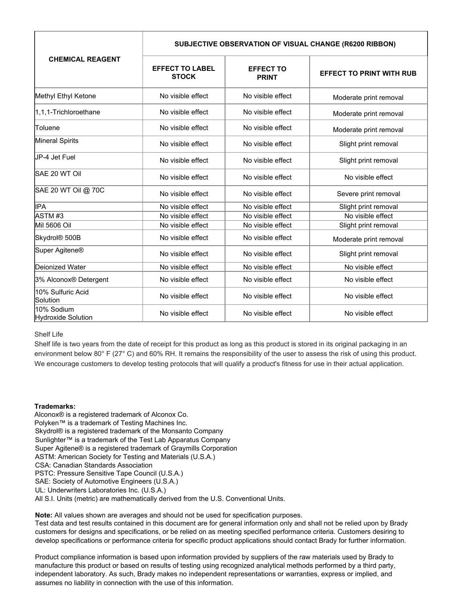| <b>CHEMICAL REAGENT</b>          | SUBJECTIVE OBSERVATION OF VISUAL CHANGE (R6200 RIBBON) |                                  |                                 |  |
|----------------------------------|--------------------------------------------------------|----------------------------------|---------------------------------|--|
|                                  | <b>EFFECT TO LABEL</b><br><b>STOCK</b>                 | <b>EFFECT TO</b><br><b>PRINT</b> | <b>EFFECT TO PRINT WITH RUB</b> |  |
| Methyl Ethyl Ketone              | No visible effect                                      | No visible effect                | Moderate print removal          |  |
| 1,1,1-Trichloroethane            | No visible effect                                      | No visible effect                | Moderate print removal          |  |
| Toluene                          | No visible effect                                      | No visible effect                | Moderate print removal          |  |
| Mineral Spirits                  | No visible effect                                      | No visible effect                | Slight print removal            |  |
| JP-4 Jet Fuel                    | No visible effect                                      | No visible effect                | Slight print removal            |  |
| SAE 20 WT Oil                    | No visible effect                                      | No visible effect                | No visible effect               |  |
| SAE 20 WT Oil @ 70C              | No visible effect                                      | No visible effect                | Severe print removal            |  |
| lIPA                             | No visible effect                                      | No visible effect                | Slight print removal            |  |
| IASTM #3                         | No visible effect                                      | No visible effect                | No visible effect               |  |
| Mil 5606 Oil                     | No visible effect                                      | No visible effect                | Slight print removal            |  |
| Skydrol® 500B                    | No visible effect                                      | No visible effect                | Moderate print removal          |  |
| Super Agitene <sup>®</sup>       | No visible effect                                      | No visible effect                | Slight print removal            |  |
| Deionized Water                  | No visible effect                                      | No visible effect                | No visible effect               |  |
| 3% Alconox® Detergent            | No visible effect                                      | No visible effect                | No visible effect               |  |
| 10% Sulfuric Acid<br>Solution    | No visible effect                                      | No visible effect                | No visible effect               |  |
| 10% Sodium<br>Hydroxide Solution | No visible effect                                      | No visible effect                | No visible effect               |  |

#### Shelf Life

Shelf life is two years from the date of receipt for this product as long as this product is stored in its original packaging in an environment below 80° F (27° C) and 60% RH. It remains the responsibility of the user to assess the risk of using this product. We encourage customers to develop testing protocols that will qualify a product's fitness for use in their actual application.

#### **Trademarks:**

Alconox® is a registered trademark of Alconox Co. Polyken™ is a trademark of Testing Machines Inc. Skydrol® is a registered trademark of the Monsanto Company Sunlighter™ is a trademark of the Test Lab Apparatus Company Super Agitene® is a registered trademark of Graymills Corporation ASTM: American Society for Testing and Materials (U.S.A.) CSA: Canadian Standards Association PSTC: Pressure Sensitive Tape Council (U.S.A.) SAE: Society of Automotive Engineers (U.S.A.) UL: Underwriters Laboratories Inc. (U.S.A.) All S.I. Units (metric) are mathematically derived from the U.S. Conventional Units.

**Note:** All values shown are averages and should not be used for specification purposes. Test data and test results contained in this document are for general information only and shall not be relied upon by Brady customers for designs and specifications, or be relied on as meeting specified performance criteria. Customers desiring to develop specifications or performance criteria for specific product applications should contact Brady for further information.

Product compliance information is based upon information provided by suppliers of the raw materials used by Brady to manufacture this product or based on results of testing using recognized analytical methods performed by a third party, independent laboratory. As such, Brady makes no independent representations or warranties, express or implied, and assumes no liability in connection with the use of this information.